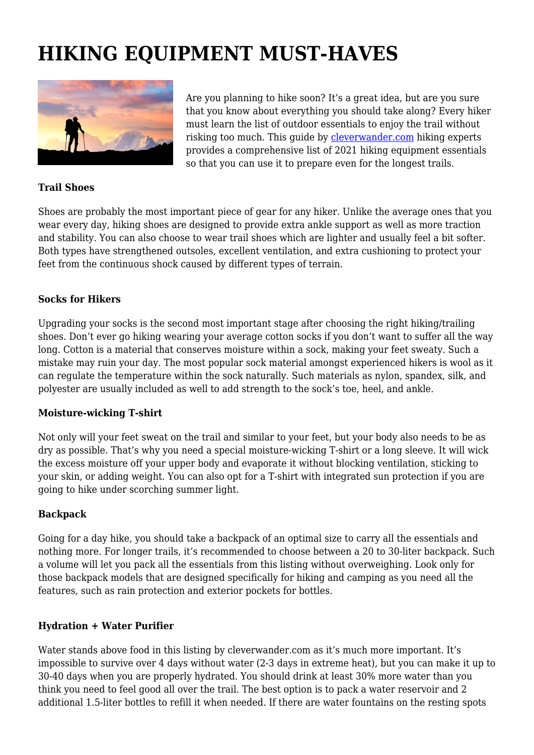# **HIKING EQUIPMENT MUST-HAVES**



Are you planning to hike soon? It's a great idea, but are you sure that you know about everything you should take along? Every hiker must learn the list of outdoor essentials to enjoy the trail without risking too much. This guide by [cleverwander.com](https://cleverwander.com/) hiking experts provides a comprehensive list of 2021 hiking equipment essentials so that you can use it to prepare even for the longest trails.

#### **Trail Shoes**

Shoes are probably the most important piece of gear for any hiker. Unlike the average ones that you wear every day, hiking shoes are designed to provide extra ankle support as well as more traction and stability. You can also choose to wear trail shoes which are lighter and usually feel a bit softer. Both types have strengthened outsoles, excellent ventilation, and extra cushioning to protect your feet from the continuous shock caused by different types of terrain.

#### **Socks for Hikers**

Upgrading your socks is the second most important stage after choosing the right hiking/trailing shoes. Don't ever go hiking wearing your average cotton socks if you don't want to suffer all the way long. Cotton is a material that conserves moisture within a sock, making your feet sweaty. Such a mistake may ruin your day. The most popular sock material amongst experienced hikers is wool as it can regulate the temperature within the sock naturally. Such materials as nylon, spandex, silk, and polyester are usually included as well to add strength to the sock's toe, heel, and ankle.

#### **Moisture-wicking T-shirt**

Not only will your feet sweat on the trail and similar to your feet, but your body also needs to be as dry as possible. That's why you need a special moisture-wicking T-shirt or a long sleeve. It will wick the excess moisture off your upper body and evaporate it without blocking ventilation, sticking to your skin, or adding weight. You can also opt for a T-shirt with integrated sun protection if you are going to hike under scorching summer light.

#### **Backpack**

Going for a day hike, you should take a backpack of an optimal size to carry all the essentials and nothing more. For longer trails, it's recommended to choose between a 20 to 30-liter backpack. Such a volume will let you pack all the essentials from this listing without overweighing. Look only for those backpack models that are designed specifically for hiking and camping as you need all the features, such as rain protection and exterior pockets for bottles.

#### **Hydration + Water Purifier**

Water stands above food in this listing by cleverwander.com as it's much more important. It's impossible to survive over 4 days without water (2-3 days in extreme heat), but you can make it up to 30-40 days when you are properly hydrated. You should drink at least 30% more water than you think you need to feel good all over the trail. The best option is to pack a water reservoir and 2 additional 1.5-liter bottles to refill it when needed. If there are water fountains on the resting spots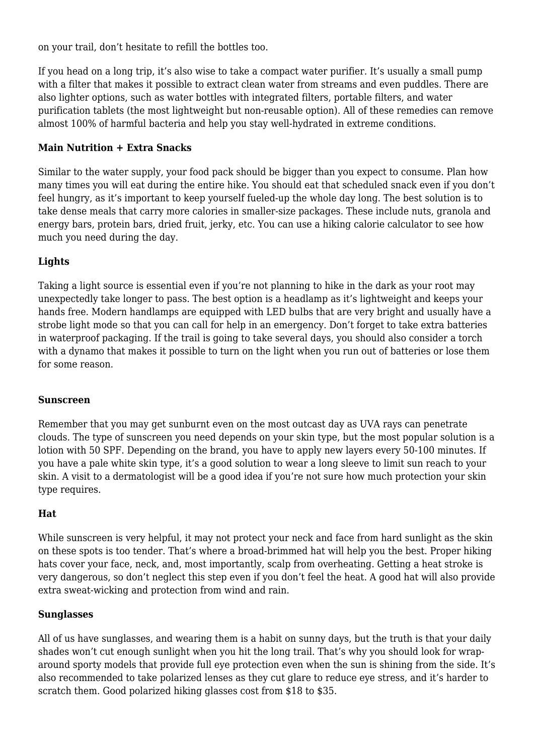on your trail, don't hesitate to refill the bottles too.

If you head on a long trip, it's also wise to take a compact water purifier. It's usually a small pump with a filter that makes it possible to extract clean water from streams and even puddles. There are also lighter options, such as water bottles with integrated filters, portable filters, and water purification tablets (the most lightweight but non-reusable option). All of these remedies can remove almost 100% of harmful bacteria and help you stay well-hydrated in extreme conditions.

# **Main Nutrition + Extra Snacks**

Similar to the water supply, your food pack should be bigger than you expect to consume. Plan how many times you will eat during the entire hike. You should eat that scheduled snack even if you don't feel hungry, as it's important to keep yourself fueled-up the whole day long. The best solution is to take dense meals that carry more calories in smaller-size packages. These include nuts, granola and energy bars, protein bars, dried fruit, jerky, etc. You can use a hiking calorie calculator to see how much you need during the day.

# **Lights**

Taking a light source is essential even if you're not planning to hike in the dark as your root may unexpectedly take longer to pass. The best option is a headlamp as it's lightweight and keeps your hands free. Modern handlamps are equipped with LED bulbs that are very bright and usually have a strobe light mode so that you can call for help in an emergency. Don't forget to take extra batteries in waterproof packaging. If the trail is going to take several days, you should also consider a torch with a dynamo that makes it possible to turn on the light when you run out of batteries or lose them for some reason.

#### **Sunscreen**

Remember that you may get sunburnt even on the most outcast day as UVA rays can penetrate clouds. The type of sunscreen you need depends on your skin type, but the most popular solution is a lotion with 50 SPF. Depending on the brand, you have to apply new layers every 50-100 minutes. If you have a pale white skin type, it's a good solution to wear a long sleeve to limit sun reach to your skin. A visit to a dermatologist will be a good idea if you're not sure how much protection your skin type requires.

# **Hat**

While sunscreen is very helpful, it may not protect your neck and face from hard sunlight as the skin on these spots is too tender. That's where a broad-brimmed hat will help you the best. Proper hiking hats cover your face, neck, and, most importantly, scalp from overheating. Getting a heat stroke is very dangerous, so don't neglect this step even if you don't feel the heat. A good hat will also provide extra sweat-wicking and protection from wind and rain.

#### **Sunglasses**

All of us have sunglasses, and wearing them is a habit on sunny days, but the truth is that your daily shades won't cut enough sunlight when you hit the long trail. That's why you should look for wraparound sporty models that provide full eye protection even when the sun is shining from the side. It's also recommended to take polarized lenses as they cut glare to reduce eye stress, and it's harder to scratch them. Good polarized hiking glasses cost from \$18 to \$35.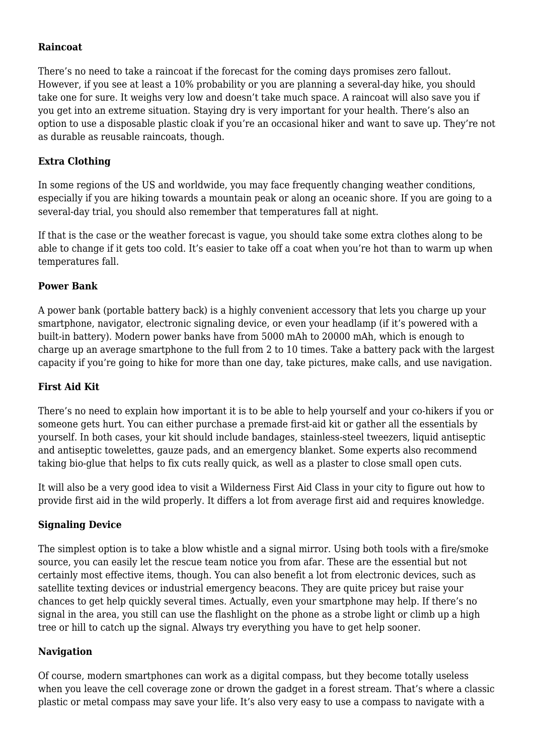#### **Raincoat**

There's no need to take a raincoat if the forecast for the coming days promises zero fallout. However, if you see at least a 10% probability or you are planning a several-day hike, you should take one for sure. It weighs very low and doesn't take much space. A raincoat will also save you if you get into an extreme situation. Staying dry is very important for your health. There's also an option to use a disposable plastic cloak if you're an occasional hiker and want to save up. They're not as durable as reusable raincoats, though.

#### **Extra Clothing**

In some regions of the US and worldwide, you may face frequently changing weather conditions, especially if you are hiking towards a mountain peak or along an oceanic shore. If you are going to a several-day trial, you should also remember that temperatures fall at night.

If that is the case or the weather forecast is vague, you should take some extra clothes along to be able to change if it gets too cold. It's easier to take off a coat when you're hot than to warm up when temperatures fall.

#### **Power Bank**

A power bank (portable battery back) is a highly convenient accessory that lets you charge up your smartphone, navigator, electronic signaling device, or even your headlamp (if it's powered with a built-in battery). Modern power banks have from 5000 mAh to 20000 mAh, which is enough to charge up an average smartphone to the full from 2 to 10 times. Take a battery pack with the largest capacity if you're going to hike for more than one day, take pictures, make calls, and use navigation.

# **First Aid Kit**

There's no need to explain how important it is to be able to help yourself and your co-hikers if you or someone gets hurt. You can either purchase a premade first-aid kit or gather all the essentials by yourself. In both cases, your kit should include bandages, stainless-steel tweezers, liquid antiseptic and antiseptic towelettes, gauze pads, and an emergency blanket. Some experts also recommend taking bio-glue that helps to fix cuts really quick, as well as a plaster to close small open cuts.

It will also be a very good idea to visit a Wilderness First Aid Class in your city to figure out how to provide first aid in the wild properly. It differs a lot from average first aid and requires knowledge.

#### **Signaling Device**

The simplest option is to take a blow whistle and a signal mirror. Using both tools with a fire/smoke source, you can easily let the rescue team notice you from afar. These are the essential but not certainly most effective items, though. You can also benefit a lot from electronic devices, such as satellite texting devices or industrial emergency beacons. They are quite pricey but raise your chances to get help quickly several times. Actually, even your smartphone may help. If there's no signal in the area, you still can use the flashlight on the phone as a strobe light or climb up a high tree or hill to catch up the signal. Always try everything you have to get help sooner.

# **Navigation**

Of course, modern smartphones can work as a digital compass, but they become totally useless when you leave the cell coverage zone or drown the gadget in a forest stream. That's where a classic plastic or metal compass may save your life. It's also very easy to use a compass to navigate with a